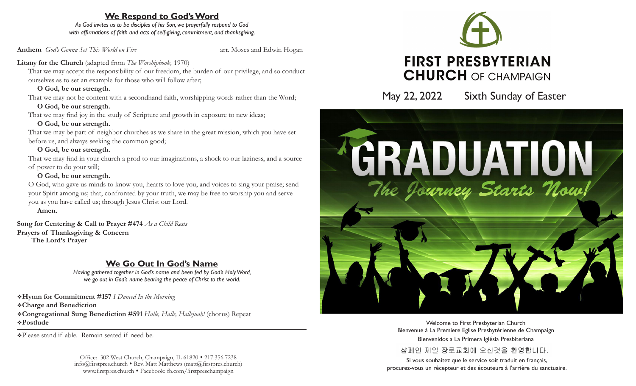## **We Respond to God's Word**

*As God invites us to be disciples of his Son, we prayerfully respond to God with affirmations of faith and acts of self-giving, commitment, and thanksgiving.*

**Anthem** *God's Gonna Set This World on Fire* and arr. Moses and Edwin Hogan

## Litany for the Church (adapted from *The Worshipbook*, 1970)

That we may accept the responsibility of our freedom, the burden of our privilege, and so conduct ourselves as to set an example for those who will follow after;

## **O God, be our strength.**

That we may not be content with a secondhand faith, worshipping words rather than the Word;  **O God, be our strength.**

That we may find joy in the study of Scripture and growth in exposure to new ideas;

## **O God, be our strength.**

That we may be part of neighbor churches as we share in the great mission, which you have set before us, and always seeking the common good;

## **O God, be our strength.**

That we may find in your church a prod to our imaginations, a shock to our laziness, and a source of power to do your will;

## **O God, be our strength.**

O God, who gave us minds to know you, hearts to love you, and voices to sing your praise; send your Spirit among us; that, confronted by your truth, we may be free to worship you and serve you as you have called us; through Jesus Christ our Lord.

 **Amen.**

**Song for Centering & Call to Prayer #474** *As a Child Rests* **Prayers of Thanksgiving & Concern The Lord's Prayer**

# **We Go Out In God's Name**

*Having gathered together in God's name and been fed by God's Holy Word, we go out in God's name bearing the peace of Christ to the world.*

v**Hymn for Commitment #157** *I Danced In the Morning* v**Charge and Benediction** v**Congregational Sung Benediction #591** *Halle, Halle, Hallejuah!* (chorus) Repeat v**Postlude** 

vPlease stand if able. Remain seated if need be.

Office: 302 West Church, Champaign, IL 61820 • 217.356.7238  $info@firstpres.church * Rev. Matt Matthews (matt@firstpres.church)$ www.firstpres.church • Facebook: fb.com/firstpreschampaign



May 22, 2022 Sixth Sunday of Easter



Welcome to First Presbyterian Church Bienvenue à La Premiere Eglise Presbytérienne de Champaign Bienvenidos a La Primera Iglésia Presbiteriana 샴페인 제일 장로교회에 오신것을 환영합니다.

Si vous souhaitez que le service soit traduit en français, procurez-vous un récepteur et des écouteurs à l'arrière du sanctuaire.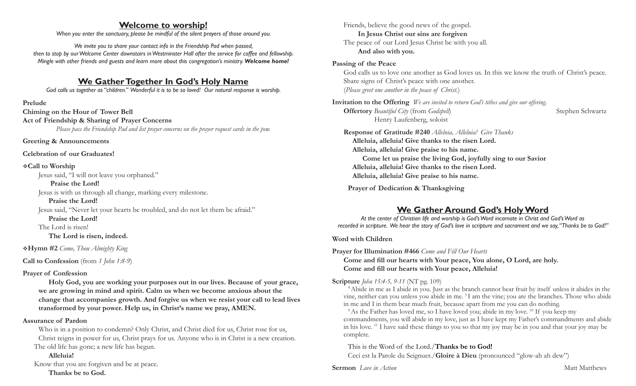## **Welcome to worship!**

*When you enter the sanctuary, please be mindful of the silent prayers of those around you.*

*We invite you to share your contact info in the Friendship Pad when passed, then to stop by our Welcome Center downstairs in Westminster Hall after the service for coffee and fellowship. Mingle with other friends and guests and learn more about this congregation's ministry. Welcome home!* 

## **We Gather Together In God's Holy Name**

*God calls us together as "children." Wonderful it is to be so loved! Our natural response is worship.*

#### **Prelude**

**Chiming on the Hour of Tower Bell Act of Friendship & Sharing of Prayer Concerns** *Please pass the Friendship Pad and list prayer concerns on the prayer request cards in the pew.*

**Greeting & Announcements**

**Celebration of our Graduates!**

#### v**Call to Worship**

Jesus said, "I will not leave you orphaned."

 **Praise the Lord!**

Jesus is with us through all change, marking every milestone.

 **Praise the Lord!** Jesus said, "Never let your hearts be troubled, and do not let them be afraid."

#### **Praise the Lord!**

The Lord is risen!

 **The Lord is risen, indeed.**

v**Hymn #2** *Come, Thou Almighty King*

**Call to Confession** (from *1 John 1:8-9*)

## **Prayer of Confession**

 **Holy God, you are working your purposes out in our lives. Because of your grace, we are growing in mind and spirit. Calm us when we become anxious about the change that accompanies growth. And forgive us when we resist your call to lead lives transformed by your power. Help us, in Christ's name we pray, AMEN.**

## **Assurance of Pardon**

Who is in a position to condemn? Only Christ, and Christ died for us, Christ rose for us, Christ reigns in power for us, Christ prays for us. Anyone who is in Christ is a new creation. The old life has gone; a new life has begun.

## **Alleluia!**

Know that you are forgiven and be at peace.  **Thanks be to God.**

Friends, believe the good news of the gospel.  **In Jesus Christ our sins are forgiven** The peace of our Lord Jesus Christ be with you all.  **And also with you.**

## **Passing of the Peace**

God calls us to love one another as God loves us. In this we know the truth of Christ's peace. Share signs of Christ's peace with one another. (*Please greet one another in the peace of Christ.*)

**Invitation to the Offering** *We are invited to return God's tithes and give our offering.* **Offertory** *Beautiful City* (from *Godspell*) Stephen Schwartz Henry Laufenberg, soloist

**Response of Gratitude #240** *Alleluia, Alleluia! Give Thanks* **Alleluia, alleluia! Give thanks to the risen Lord. Alleluia, alleluia! Give praise to his name. Come let us praise the living God, joyfully sing to our Savior Alleluia, alleluia! Give thanks to the risen Lord. Alleluia, alleluia! Give praise to his name.** 

 **Prayer of Dedication & Thanksgiving**

## **We Gather Around God's Holy Word**

*At the center of Christian life and worship is God's Word incarnate in Christ and God's Word as recorded in scripture. We hear the story of God's love in scripture and sacrament and we say, "Thanks be to God!"*

**Word with Children**

**Prayer for Illumination #466** *Come and Fill Our Hearts*

**Come and fill our hearts with Your peace, You alone, O Lord, are holy. Come and fill our hearts with Your peace, Alleluia!**

**Scripture** *John 15:4-5, 9-11* (NT pg. 109)<br><sup>4</sup> Abide in me as I abide in you. Just as the branch cannot bear fruit by itself unless it abides in the vine, neither can you unless you abide in me. 5 I am the vine; you are the branches. Those who abide in me and I in them bear much fruit, because apart from me you can do nothing.

 $9$ As the Father has loved me, so I have loved you; abide in my love.  $10$  If you keep my commandments, you will abide in my love, just as I have kept my Father's commandments and abide in his love. 11 I have said these things to you so that my joy may be in you and that your joy may be complete.

This is the Word of the Lord./**Thanks be to God!**

Ceci est la Parole du Seignuer./**Gloire à Dieu** (pronounced "glow-ah ah dew")

**Sermon** *Love in Action* **Matthews Matthews Matthews**